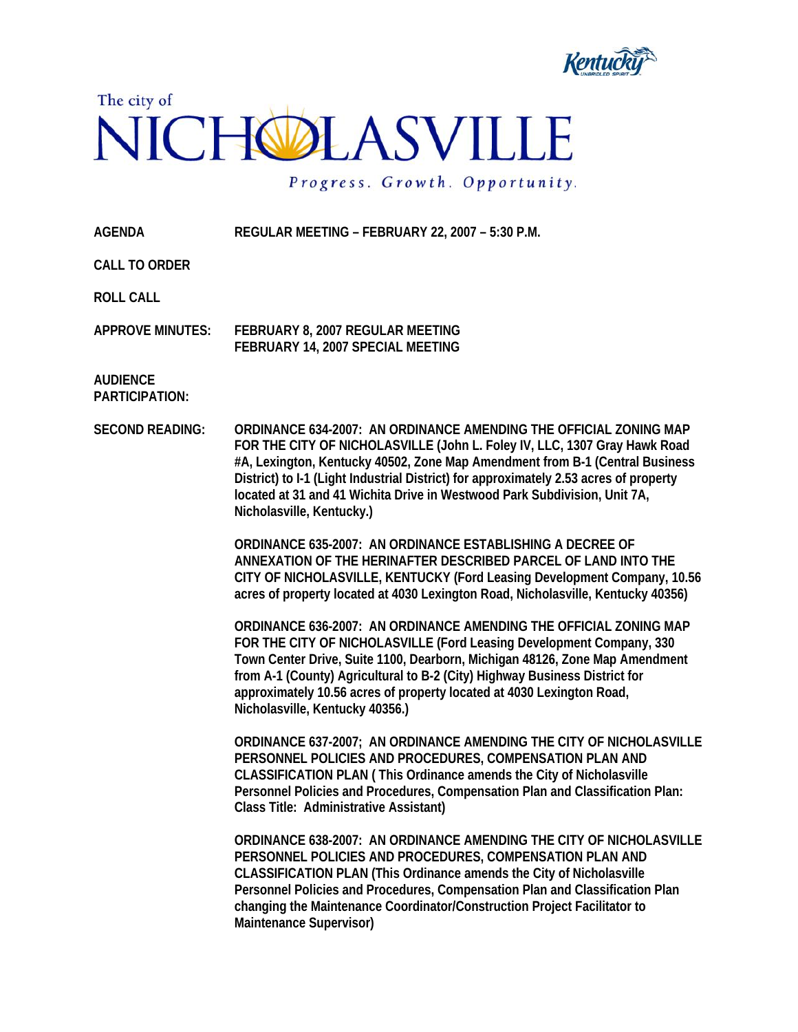



Progress. Growth. Opportunity.

**AGENDA REGULAR MEETING – FEBRUARY 22, 2007 – 5:30 P.M.** 

**CALL TO ORDER** 

**ROLL CALL** 

**APPROVE MINUTES: FEBRUARY 8, 2007 REGULAR MEETING FEBRUARY 14, 2007 SPECIAL MEETING** 

**AUDIENCE PARTICIPATION:** 

**SECOND READING: ORDINANCE 634-2007: AN ORDINANCE AMENDING THE OFFICIAL ZONING MAP FOR THE CITY OF NICHOLASVILLE (John L. Foley IV, LLC, 1307 Gray Hawk Road #A, Lexington, Kentucky 40502, Zone Map Amendment from B-1 (Central Business District) to I-1 (Light Industrial District) for approximately 2.53 acres of property located at 31 and 41 Wichita Drive in Westwood Park Subdivision, Unit 7A, Nicholasville, Kentucky.)** 

> **ORDINANCE 635-2007: AN ORDINANCE ESTABLISHING A DECREE OF ANNEXATION OF THE HERINAFTER DESCRIBED PARCEL OF LAND INTO THE CITY OF NICHOLASVILLE, KENTUCKY (Ford Leasing Development Company, 10.56 acres of property located at 4030 Lexington Road, Nicholasville, Kentucky 40356)**

**ORDINANCE 636-2007: AN ORDINANCE AMENDING THE OFFICIAL ZONING MAP FOR THE CITY OF NICHOLASVILLE (Ford Leasing Development Company, 330 Town Center Drive, Suite 1100, Dearborn, Michigan 48126, Zone Map Amendment from A-1 (County) Agricultural to B-2 (City) Highway Business District for approximately 10.56 acres of property located at 4030 Lexington Road, Nicholasville, Kentucky 40356.)** 

**ORDINANCE 637-2007; AN ORDINANCE AMENDING THE CITY OF NICHOLASVILLE PERSONNEL POLICIES AND PROCEDURES, COMPENSATION PLAN AND CLASSIFICATION PLAN ( This Ordinance amends the City of Nicholasville Personnel Policies and Procedures, Compensation Plan and Classification Plan: Class Title: Administrative Assistant)** 

**ORDINANCE 638-2007: AN ORDINANCE AMENDING THE CITY OF NICHOLASVILLE PERSONNEL POLICIES AND PROCEDURES, COMPENSATION PLAN AND CLASSIFICATION PLAN (This Ordinance amends the City of Nicholasville Personnel Policies and Procedures, Compensation Plan and Classification Plan changing the Maintenance Coordinator/Construction Project Facilitator to Maintenance Supervisor)**